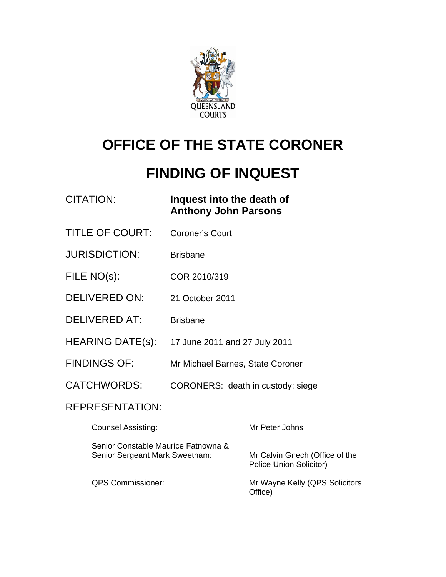

# **OFFICE OF THE STATE CORONER**

# **FINDING OF INQUEST**

| CITATION: | Inquest into the death of   |
|-----------|-----------------------------|
|           | <b>Anthony John Parsons</b> |

- TITLE OF COURT: Coroner's Court
- JURISDICTION: Brisbane
- FILE NO(s): COR 2010/319
- DELIVERED ON: 21 October 2011
- DELIVERED AT: Brisbane
- HEARING DATE(s): 17 June 2011 and 27 July 2011
- FINDINGS OF: Mr Michael Barnes, State Coroner
- CATCHWORDS: CORONERS: death in custody; siege

#### REPRESENTATION:

| <b>Counsel Assisting:</b>                                             | Mr Peter Johns                                                   |
|-----------------------------------------------------------------------|------------------------------------------------------------------|
| Senior Constable Maurice Fatnowna &<br>Senior Sergeant Mark Sweetnam: | Mr Calvin Gnech (Office of the<br><b>Police Union Solicitor)</b> |
| <b>QPS Commissioner:</b>                                              | Mr Wayne Kelly (QPS Solicitors<br>Office)                        |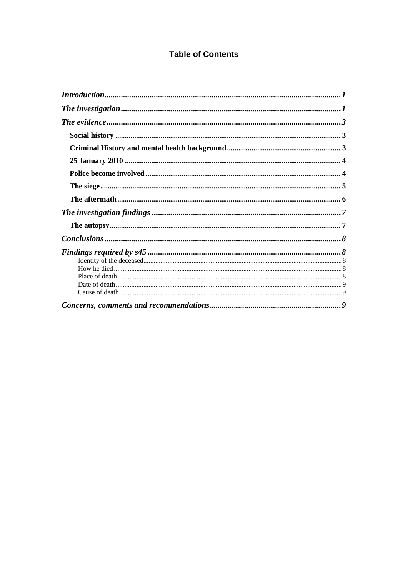#### **Table of Contents**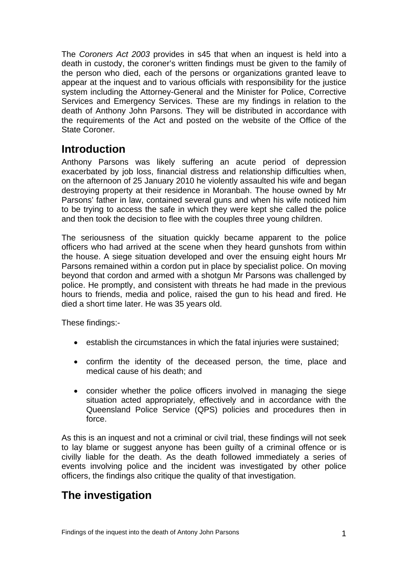The *Coroners Act 2003* provides in s45 that when an inquest is held into a death in custody, the coroner's written findings must be given to the family of the person who died, each of the persons or organizations granted leave to appear at the inquest and to various officials with responsibility for the justice system including the Attorney-General and the Minister for Police, Corrective Services and Emergency Services. These are my findings in relation to the death of Anthony John Parsons. They will be distributed in accordance with the requirements of the Act and posted on the website of the Office of the State Coroner.

## <span id="page-2-0"></span>**Introduction**

Anthony Parsons was likely suffering an acute period of depression exacerbated by job loss, financial distress and relationship difficulties when, on the afternoon of 25 January 2010 he violently assaulted his wife and began destroying property at their residence in Moranbah. The house owned by Mr Parsons' father in law, contained several guns and when his wife noticed him to be trying to access the safe in which they were kept she called the police and then took the decision to flee with the couples three young children.

The seriousness of the situation quickly became apparent to the police officers who had arrived at the scene when they heard gunshots from within the house. A siege situation developed and over the ensuing eight hours Mr Parsons remained within a cordon put in place by specialist police. On moving beyond that cordon and armed with a shotgun Mr Parsons was challenged by police. He promptly, and consistent with threats he had made in the previous hours to friends, media and police, raised the gun to his head and fired. He died a short time later. He was 35 years old.

These findings:-

- establish the circumstances in which the fatal injuries were sustained;
- confirm the identity of the deceased person, the time, place and medical cause of his death; and
- consider whether the police officers involved in managing the siege situation acted appropriately, effectively and in accordance with the Queensland Police Service (QPS) policies and procedures then in force.

As this is an inquest and not a criminal or civil trial, these findings will not seek to lay blame or suggest anyone has been guilty of a criminal offence or is civilly liable for the death. As the death followed immediately a series of events involving police and the incident was investigated by other police officers, the findings also critique the quality of that investigation.

## <span id="page-2-1"></span>**The investigation**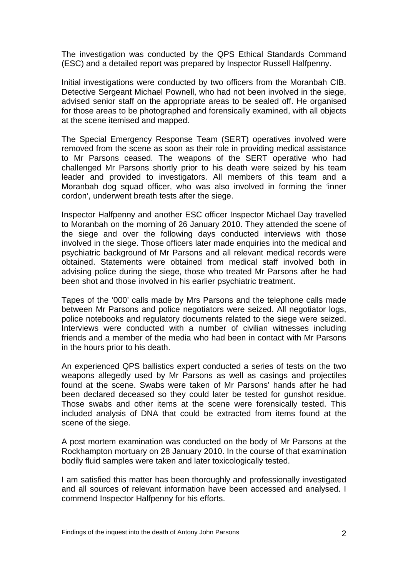The investigation was conducted by the QPS Ethical Standards Command (ESC) and a detailed report was prepared by Inspector Russell Halfpenny.

Initial investigations were conducted by two officers from the Moranbah CIB. Detective Sergeant Michael Pownell, who had not been involved in the siege, advised senior staff on the appropriate areas to be sealed off. He organised for those areas to be photographed and forensically examined, with all objects at the scene itemised and mapped.

The Special Emergency Response Team (SERT) operatives involved were removed from the scene as soon as their role in providing medical assistance to Mr Parsons ceased. The weapons of the SERT operative who had challenged Mr Parsons shortly prior to his death were seized by his team leader and provided to investigators. All members of this team and a Moranbah dog squad officer, who was also involved in forming the 'inner cordon', underwent breath tests after the siege.

Inspector Halfpenny and another ESC officer Inspector Michael Day travelled to Moranbah on the morning of 26 January 2010. They attended the scene of the siege and over the following days conducted interviews with those involved in the siege. Those officers later made enquiries into the medical and psychiatric background of Mr Parsons and all relevant medical records were obtained. Statements were obtained from medical staff involved both in advising police during the siege, those who treated Mr Parsons after he had been shot and those involved in his earlier psychiatric treatment.

Tapes of the '000' calls made by Mrs Parsons and the telephone calls made between Mr Parsons and police negotiators were seized. All negotiator logs, police notebooks and regulatory documents related to the siege were seized. Interviews were conducted with a number of civilian witnesses including friends and a member of the media who had been in contact with Mr Parsons in the hours prior to his death.

An experienced QPS ballistics expert conducted a series of tests on the two weapons allegedly used by Mr Parsons as well as casings and projectiles found at the scene. Swabs were taken of Mr Parsons' hands after he had been declared deceased so they could later be tested for gunshot residue. Those swabs and other items at the scene were forensically tested. This included analysis of DNA that could be extracted from items found at the scene of the siege.

A post mortem examination was conducted on the body of Mr Parsons at the Rockhampton mortuary on 28 January 2010. In the course of that examination bodily fluid samples were taken and later toxicologically tested.

I am satisfied this matter has been thoroughly and professionally investigated and all sources of relevant information have been accessed and analysed. I commend Inspector Halfpenny for his efforts.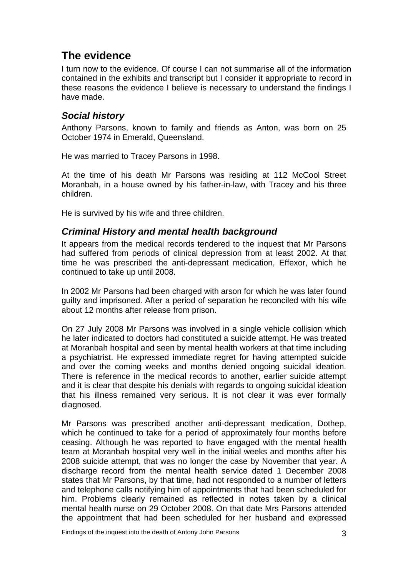## <span id="page-4-0"></span>**The evidence**

I turn now to the evidence. Of course I can not summarise all of the information contained in the exhibits and transcript but I consider it appropriate to record in these reasons the evidence I believe is necessary to understand the findings I have made.

#### <span id="page-4-1"></span>*Social history*

Anthony Parsons, known to family and friends as Anton, was born on 25 October 1974 in Emerald, Queensland.

He was married to Tracey Parsons in 1998.

At the time of his death Mr Parsons was residing at 112 McCool Street Moranbah, in a house owned by his father-in-law, with Tracey and his three children.

He is survived by his wife and three children.

#### <span id="page-4-2"></span>*Criminal History and mental health background*

It appears from the medical records tendered to the inquest that Mr Parsons had suffered from periods of clinical depression from at least 2002. At that time he was prescribed the anti-depressant medication, Effexor, which he continued to take up until 2008.

In 2002 Mr Parsons had been charged with arson for which he was later found guilty and imprisoned. After a period of separation he reconciled with his wife about 12 months after release from prison.

On 27 July 2008 Mr Parsons was involved in a single vehicle collision which he later indicated to doctors had constituted a suicide attempt. He was treated at Moranbah hospital and seen by mental health workers at that time including a psychiatrist. He expressed immediate regret for having attempted suicide and over the coming weeks and months denied ongoing suicidal ideation. There is reference in the medical records to another, earlier suicide attempt and it is clear that despite his denials with regards to ongoing suicidal ideation that his illness remained very serious. It is not clear it was ever formally diagnosed.

Mr Parsons was prescribed another anti-depressant medication, Dothep, which he continued to take for a period of approximately four months before ceasing. Although he was reported to have engaged with the mental health team at Moranbah hospital very well in the initial weeks and months after his 2008 suicide attempt, that was no longer the case by November that year. A discharge record from the mental health service dated 1 December 2008 states that Mr Parsons, by that time, had not responded to a number of letters and telephone calls notifying him of appointments that had been scheduled for him. Problems clearly remained as reflected in notes taken by a clinical mental health nurse on 29 October 2008. On that date Mrs Parsons attended the appointment that had been scheduled for her husband and expressed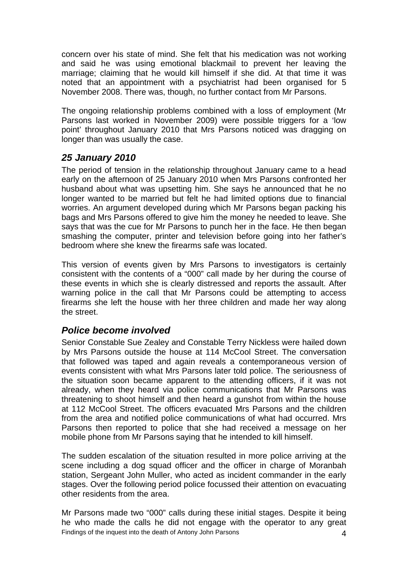concern over his state of mind. She felt that his medication was not working and said he was using emotional blackmail to prevent her leaving the marriage; claiming that he would kill himself if she did. At that time it was noted that an appointment with a psychiatrist had been organised for 5 November 2008. There was, though, no further contact from Mr Parsons.

The ongoing relationship problems combined with a loss of employment (Mr Parsons last worked in November 2009) were possible triggers for a 'low point' throughout January 2010 that Mrs Parsons noticed was dragging on longer than was usually the case.

#### <span id="page-5-0"></span>*25 January 2010*

The period of tension in the relationship throughout January came to a head early on the afternoon of 25 January 2010 when Mrs Parsons confronted her husband about what was upsetting him. She says he announced that he no longer wanted to be married but felt he had limited options due to financial worries. An argument developed during which Mr Parsons began packing his bags and Mrs Parsons offered to give him the money he needed to leave. She says that was the cue for Mr Parsons to punch her in the face. He then began smashing the computer, printer and television before going into her father's bedroom where she knew the firearms safe was located.

This version of events given by Mrs Parsons to investigators is certainly consistent with the contents of a "000" call made by her during the course of these events in which she is clearly distressed and reports the assault. After warning police in the call that Mr Parsons could be attempting to access firearms she left the house with her three children and made her way along the street.

#### <span id="page-5-1"></span>*Police become involved*

Senior Constable Sue Zealey and Constable Terry Nickless were hailed down by Mrs Parsons outside the house at 114 McCool Street. The conversation that followed was taped and again reveals a contemporaneous version of events consistent with what Mrs Parsons later told police. The seriousness of the situation soon became apparent to the attending officers, if it was not already, when they heard via police communications that Mr Parsons was threatening to shoot himself and then heard a gunshot from within the house at 112 McCool Street. The officers evacuated Mrs Parsons and the children from the area and notified police communications of what had occurred. Mrs Parsons then reported to police that she had received a message on her mobile phone from Mr Parsons saying that he intended to kill himself.

The sudden escalation of the situation resulted in more police arriving at the scene including a dog squad officer and the officer in charge of Moranbah station, Sergeant John Muller, who acted as incident commander in the early stages. Over the following period police focussed their attention on evacuating other residents from the area.

Mr Parsons made two "000" calls during these initial stages. Despite it being he who made the calls he did not engage with the operator to any great Findings of the inquest into the death of Antony John Parsons 4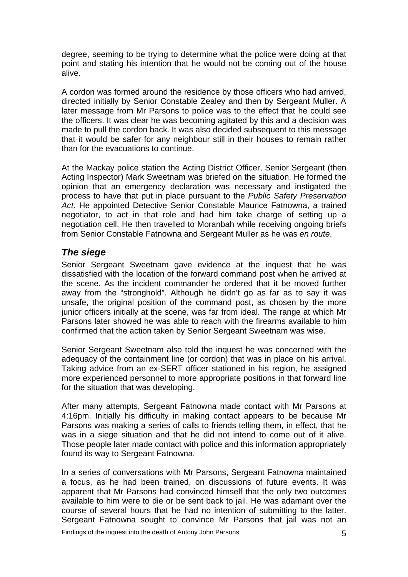degree, seeming to be trying to determine what the police were doing at that point and stating his intention that he would not be coming out of the house alive.

A cordon was formed around the residence by those officers who had arrived, directed initially by Senior Constable Zealey and then by Sergeant Muller. A later message from Mr Parsons to police was to the effect that he could see the officers. It was clear he was becoming agitated by this and a decision was made to pull the cordon back. It was also decided subsequent to this message that it would be safer for any neighbour still in their houses to remain rather than for the evacuations to continue.

At the Mackay police station the Acting District Officer, Senior Sergeant (then Acting Inspector) Mark Sweetnam was briefed on the situation. He formed the opinion that an emergency declaration was necessary and instigated the process to have that put in place pursuant to the *Public Safety Preservation Act.* He appointed Detective Senior Constable Maurice Fatnowna, a trained negotiator, to act in that role and had him take charge of setting up a negotiation cell. He then travelled to Moranbah while receiving ongoing briefs from Senior Constable Fatnowna and Sergeant Muller as he was *en route*.

#### <span id="page-6-0"></span>*The siege*

Senior Sergeant Sweetnam gave evidence at the inquest that he was dissatisfied with the location of the forward command post when he arrived at the scene. As the incident commander he ordered that it be moved further away from the "stronghold". Although he didn't go as far as to say it was unsafe, the original position of the command post, as chosen by the more junior officers initially at the scene, was far from ideal. The range at which Mr Parsons later showed he was able to reach with the firearms available to him confirmed that the action taken by Senior Sergeant Sweetnam was wise.

Senior Sergeant Sweetnam also told the inquest he was concerned with the adequacy of the containment line (or cordon) that was in place on his arrival. Taking advice from an ex-SERT officer stationed in his region, he assigned more experienced personnel to more appropriate positions in that forward line for the situation that was developing.

After many attempts, Sergeant Fatnowna made contact with Mr Parsons at 4:16pm. Initially his difficulty in making contact appears to be because Mr Parsons was making a series of calls to friends telling them, in effect, that he was in a siege situation and that he did not intend to come out of it alive. Those people later made contact with police and this information appropriately found its way to Sergeant Fatnowna.

In a series of conversations with Mr Parsons, Sergeant Fatnowna maintained a focus, as he had been trained, on discussions of future events. It was apparent that Mr Parsons had convinced himself that the only two outcomes available to him were to die or be sent back to jail. He was adamant over the course of several hours that he had no intention of submitting to the latter. Sergeant Fatnowna sought to convince Mr Parsons that jail was not an

Findings of the inquest into the death of Antony John Parsons **5**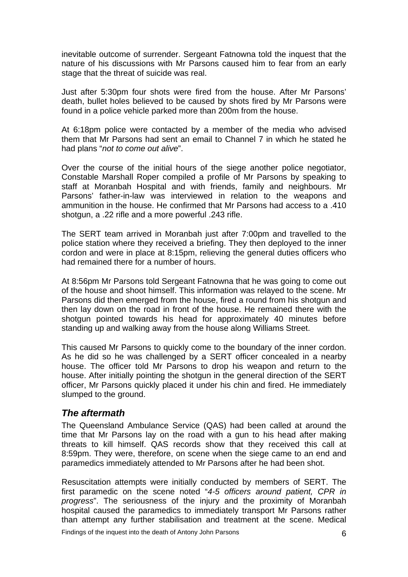inevitable outcome of surrender. Sergeant Fatnowna told the inquest that the nature of his discussions with Mr Parsons caused him to fear from an early stage that the threat of suicide was real.

Just after 5:30pm four shots were fired from the house. After Mr Parsons' death, bullet holes believed to be caused by shots fired by Mr Parsons were found in a police vehicle parked more than 200m from the house.

At 6:18pm police were contacted by a member of the media who advised them that Mr Parsons had sent an email to Channel 7 in which he stated he had plans "*not to come out alive*".

Over the course of the initial hours of the siege another police negotiator, Constable Marshall Roper compiled a profile of Mr Parsons by speaking to staff at Moranbah Hospital and with friends, family and neighbours. Mr Parsons' father-in-law was interviewed in relation to the weapons and ammunition in the house. He confirmed that Mr Parsons had access to a .410 shotgun, a .22 rifle and a more powerful .243 rifle.

The SERT team arrived in Moranbah just after 7:00pm and travelled to the police station where they received a briefing. They then deployed to the inner cordon and were in place at 8:15pm, relieving the general duties officers who had remained there for a number of hours.

At 8:56pm Mr Parsons told Sergeant Fatnowna that he was going to come out of the house and shoot himself. This information was relayed to the scene. Mr Parsons did then emerged from the house, fired a round from his shotgun and then lay down on the road in front of the house. He remained there with the shotgun pointed towards his head for approximately 40 minutes before standing up and walking away from the house along Williams Street.

This caused Mr Parsons to quickly come to the boundary of the inner cordon. As he did so he was challenged by a SERT officer concealed in a nearby house. The officer told Mr Parsons to drop his weapon and return to the house. After initially pointing the shotgun in the general direction of the SERT officer, Mr Parsons quickly placed it under his chin and fired. He immediately slumped to the ground.

#### <span id="page-7-0"></span>*The aftermath*

The Queensland Ambulance Service (QAS) had been called at around the time that Mr Parsons lay on the road with a gun to his head after making threats to kill himself. QAS records show that they received this call at 8:59pm. They were, therefore, on scene when the siege came to an end and paramedics immediately attended to Mr Parsons after he had been shot.

Resuscitation attempts were initially conducted by members of SERT. The first paramedic on the scene noted "*4-5 officers around patient, CPR in progress*". The seriousness of the injury and the proximity of Moranbah hospital caused the paramedics to immediately transport Mr Parsons rather than attempt any further stabilisation and treatment at the scene. Medical

Findings of the inquest into the death of Antony John Parsons 6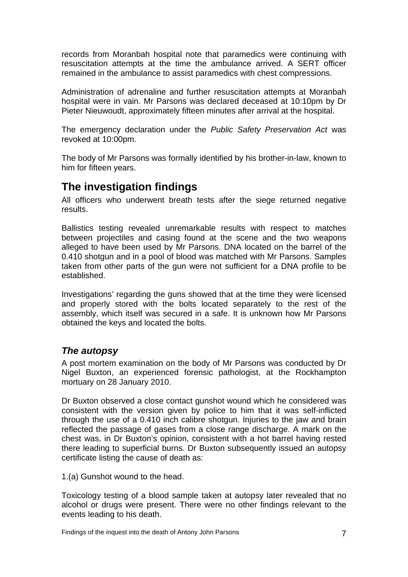records from Moranbah hospital note that paramedics were continuing with resuscitation attempts at the time the ambulance arrived. A SERT officer remained in the ambulance to assist paramedics with chest compressions.

Administration of adrenaline and further resuscitation attempts at Moranbah hospital were in vain. Mr Parsons was declared deceased at 10:10pm by Dr Pieter Nieuwoudt, approximately fifteen minutes after arrival at the hospital.

The emergency declaration under the *Public Safety Preservation Act* was revoked at 10:00pm.

The body of Mr Parsons was formally identified by his brother-in-law, known to him for fifteen years.

## <span id="page-8-0"></span>**The investigation findings**

All officers who underwent breath tests after the siege returned negative results.

Ballistics testing revealed unremarkable results with respect to matches between projectiles and casing found at the scene and the two weapons alleged to have been used by Mr Parsons. DNA located on the barrel of the 0.410 shotgun and in a pool of blood was matched with Mr Parsons. Samples taken from other parts of the gun were not sufficient for a DNA profile to be established.

Investigations' regarding the guns showed that at the time they were licensed and properly stored with the bolts located separately to the rest of the assembly, which itself was secured in a safe. It is unknown how Mr Parsons obtained the keys and located the bolts.

#### <span id="page-8-1"></span>*The autopsy*

A post mortem examination on the body of Mr Parsons was conducted by Dr Nigel Buxton, an experienced forensic pathologist, at the Rockhampton mortuary on 28 January 2010.

Dr Buxton observed a close contact gunshot wound which he considered was consistent with the version given by police to him that it was self-inflicted through the use of a 0.410 inch calibre shotgun. Injuries to the jaw and brain reflected the passage of gases from a close range discharge. A mark on the chest was, in Dr Buxton's opinion, consistent with a hot barrel having rested there leading to superficial burns. Dr Buxton subsequently issued an autopsy certificate listing the cause of death as:

1.(a) Gunshot wound to the head.

Toxicology testing of a blood sample taken at autopsy later revealed that no alcohol or drugs were present. There were no other findings relevant to the events leading to his death.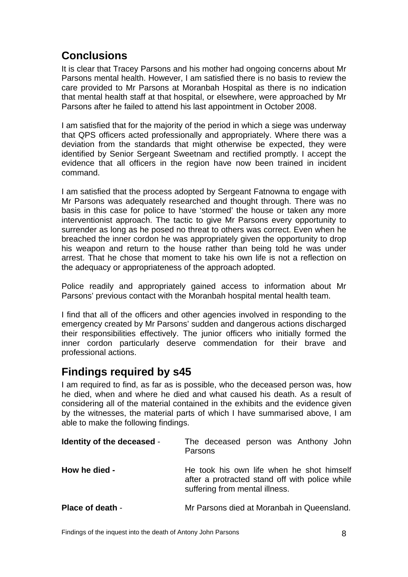## <span id="page-9-0"></span>**Conclusions**

It is clear that Tracey Parsons and his mother had ongoing concerns about Mr Parsons mental health. However, I am satisfied there is no basis to review the care provided to Mr Parsons at Moranbah Hospital as there is no indication that mental health staff at that hospital, or elsewhere, were approached by Mr Parsons after he failed to attend his last appointment in October 2008.

I am satisfied that for the majority of the period in which a siege was underway that QPS officers acted professionally and appropriately. Where there was a deviation from the standards that might otherwise be expected, they were identified by Senior Sergeant Sweetnam and rectified promptly. I accept the evidence that all officers in the region have now been trained in incident command.

I am satisfied that the process adopted by Sergeant Fatnowna to engage with Mr Parsons was adequately researched and thought through. There was no basis in this case for police to have 'stormed' the house or taken any more interventionist approach. The tactic to give Mr Parsons every opportunity to surrender as long as he posed no threat to others was correct. Even when he breached the inner cordon he was appropriately given the opportunity to drop his weapon and return to the house rather than being told he was under arrest. That he chose that moment to take his own life is not a reflection on the adequacy or appropriateness of the approach adopted.

Police readily and appropriately gained access to information about Mr Parsons' previous contact with the Moranbah hospital mental health team.

I find that all of the officers and other agencies involved in responding to the emergency created by Mr Parsons' sudden and dangerous actions discharged their responsibilities effectively. The junior officers who initially formed the inner cordon particularly deserve commendation for their brave and professional actions.

### <span id="page-9-1"></span>**Findings required by s45**

I am required to find, as far as is possible, who the deceased person was, how he died, when and where he died and what caused his death. As a result of considering all of the material contained in the exhibits and the evidence given by the witnesses, the material parts of which I have summarised above, I am able to make the following findings.

<span id="page-9-4"></span><span id="page-9-3"></span><span id="page-9-2"></span>

| Identity of the deceased - | The deceased person was Anthony John<br>Parsons                                                                               |
|----------------------------|-------------------------------------------------------------------------------------------------------------------------------|
| How he died -              | He took his own life when he shot himself<br>after a protracted stand off with police while<br>suffering from mental illness. |
| <b>Place of death -</b>    | Mr Parsons died at Moranbah in Queensland.                                                                                    |